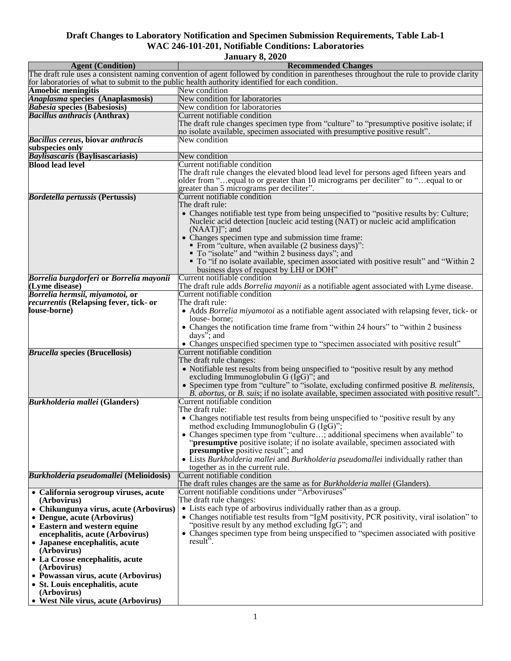| <b>Agent (Condition)</b>                                   | <b>Recommended Changes</b>                                                                                                              |
|------------------------------------------------------------|-----------------------------------------------------------------------------------------------------------------------------------------|
|                                                            | The draft rule uses a consistent naming convention of agent followed by condition in parentheses throughout the rule to provide clarity |
|                                                            | for laboratories of what to submit to the public health authority identified for each condition.                                        |
| <b>Amoebic meningitis</b>                                  | New condition                                                                                                                           |
| Anaplasma species (Anaplasmosis)                           | New condition for laboratories                                                                                                          |
| <b>Babesia species (Babesiosis)</b>                        | New condition for laboratories                                                                                                          |
| <b>Bacillus anthracis (Anthrax)</b>                        | Current notifiable condition                                                                                                            |
|                                                            | The draft rule changes specimen type from "culture" to "presumptive positive isolate; if                                                |
|                                                            | no isolate available, specimen associated with presumptive positive result".                                                            |
| <b>Bacillus cereus, biovar anthracis</b>                   | New condition                                                                                                                           |
| subspecies only                                            |                                                                                                                                         |
| Baylisascaris (Baylisascariasis)                           | New condition                                                                                                                           |
| <b>Blood lead level</b>                                    | Current notifiable condition                                                                                                            |
|                                                            | The draft rule changes the elevated blood lead level for persons aged fifteen years and                                                 |
|                                                            | older from " equal to or greater than 10 micrograms per deciliter" to " equal to or                                                     |
|                                                            | greater than 5 micrograms per deciliter".                                                                                               |
| <b>Bordetella pertussis (Pertussis)</b>                    | Current notifiable condition                                                                                                            |
|                                                            | The draft rule:                                                                                                                         |
|                                                            | • Changes notifiable test type from being unspecified to "positive results by: Culture;                                                 |
|                                                            | Nucleic acid detection [nucleic acid testing (NAT) or nucleic acid amplification                                                        |
|                                                            | $(NAAT)]$ "; and                                                                                                                        |
|                                                            | • Changes specimen type and submission time frame:                                                                                      |
|                                                            | • From "culture, when available (2 business days)":                                                                                     |
|                                                            | • To "isolate" and "within 2 business days"; and                                                                                        |
|                                                            | • To "if no isolate available, specimen associated with positive result" and "Within 2                                                  |
|                                                            | business days of request by LHJ or DOH"<br>Current notifiable condition                                                                 |
| Borrelia burgdorferi or Borrelia mayonii<br>(Lyme disease) | The draft rule adds Borrelia mayonii as a notifiable agent associated with Lyme disease.                                                |
| Borrelia hermsii, miyamotoi, or                            | Current notifiable condition                                                                                                            |
| <i>recurrentis</i> (Relapsing fever, tick- or              | The draft rule:                                                                                                                         |
| louse-borne)                                               | • Adds <i>Borrelia miyamotoi</i> as a notifiable agent associated with relapsing fever, tick- or                                        |
|                                                            | louse-borne;                                                                                                                            |
|                                                            | • Changes the notification time frame from "within 24 hours" to "within 2 business                                                      |
|                                                            | days"; and                                                                                                                              |
|                                                            | • Changes unspecified specimen type to "specimen associated with positive result"                                                       |
| <b>Brucella species (Brucellosis)</b>                      | Current notifiable condition                                                                                                            |
|                                                            | The draft rule changes:                                                                                                                 |
|                                                            | • Notifiable test results from being unspecified to "positive result by any method                                                      |
|                                                            | excluding Immunoglobulin $G$ (IgG)"; and                                                                                                |
|                                                            | • Specimen type from "culture" to "isolate, excluding confirmed positive B. melitensis,                                                 |
|                                                            | B. abortus, or B. suis; if no isolate available, specimen associated with positive result".                                             |
| <b>Burkholderia mallei (Glanders)</b>                      | Current notifiable condition                                                                                                            |
|                                                            | The draft rule:                                                                                                                         |
|                                                            | • Changes notifiable test results from being unspecified to "positive result by any                                                     |
|                                                            | method excluding Immunoglobulin G (IgG)";                                                                                               |
|                                                            | • Changes specimen type from "culture; additional specimens when available" to                                                          |
|                                                            | "presumptive positive isolate; if no isolate available, specimen associated with                                                        |
|                                                            | <b>presumptive</b> positive result"; and                                                                                                |
|                                                            | • Lists Burkholderia mallei and Burkholderia pseudomallei individually rather than                                                      |
|                                                            | together as in the current rule.                                                                                                        |
| Burkholderia pseudomallei (Melioidosis)                    | Current notifiable condition                                                                                                            |
|                                                            | The draft rules changes are the same as for <i>Burkholderia mallei</i> (Glanders).                                                      |
| • California serogroup viruses, acute                      | Current notifiable conditions under "Arboviruses"                                                                                       |
| (Arbovirus)                                                | The draft rule changes:                                                                                                                 |
| • Chikungunya virus, acute (Arbovirus)                     | • Lists each type of arbovirus individually rather than as a group.                                                                     |
| • Dengue, acute (Arbovirus)                                | • Changes notifiable test results from "IgM positivity, PCR positivity, viral isolation" to                                             |
| • Eastern and western equine                               | "positive result by any method excluding IgG"; and                                                                                      |
| encephalitis, acute (Arbovirus)                            | • Changes specimen type from being unspecified to "specimen associated with positive"                                                   |
| • Japanese encephalitis, acute                             | result <sup><math>\ddot{\cdot}</math></sup> .                                                                                           |
| (Arbovirus)                                                |                                                                                                                                         |
| • La Crosse encephalitis, acute                            |                                                                                                                                         |
| (Arbovirus)                                                |                                                                                                                                         |
| • Powassan virus, acute (Arbovirus)                        |                                                                                                                                         |
| • St. Louis encephalitis, acute                            |                                                                                                                                         |
| (Arbovirus)                                                |                                                                                                                                         |
| • West Nile virus, acute (Arbovirus)                       |                                                                                                                                         |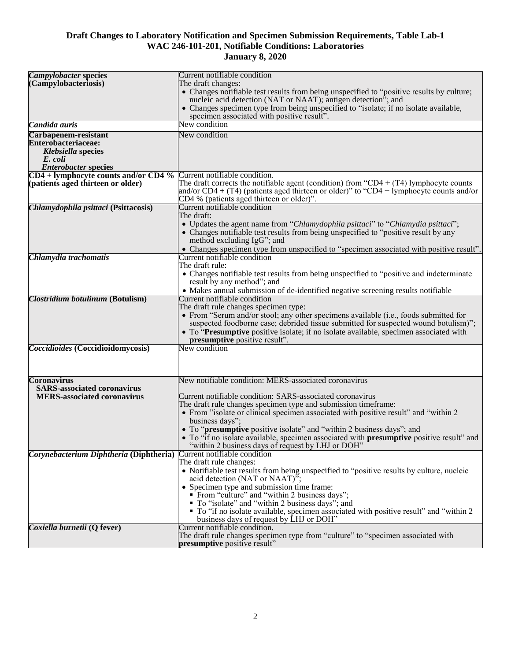| <b>Campylobacter species</b>            | Current notifiable condition                                                              |
|-----------------------------------------|-------------------------------------------------------------------------------------------|
| (Campylobacteriosis)                    | The draft changes:                                                                        |
|                                         | • Changes notifiable test results from being unspecified to "positive results by culture; |
|                                         | nucleic acid detection (NAT or NAAT); antigen detection"; and                             |
|                                         | • Changes specimen type from being unspecified to "isolate; if no isolate available,      |
|                                         | specimen associated with positive result".                                                |
| Candida auris                           | New condition                                                                             |
|                                         |                                                                                           |
| Carbapenem-resistant                    | New condition                                                                             |
| Enterobacteriaceae:                     |                                                                                           |
| Klebsiella species                      |                                                                                           |
| E. coli                                 |                                                                                           |
| <b>Enterobacter species</b>             |                                                                                           |
| $CD4 + lymphocyte counts and/or CD4 %$  | Current notifiable condition.                                                             |
| (patients aged thirteen or older)       | The draft corrects the notifiable agent (condition) from "CD4 + $(T4)$ lymphocyte counts  |
|                                         | and/or CD4 + (T4) (patients aged thirteen or older)" to "CD4 + lymphocyte counts and/or   |
|                                         | CD4 % (patients aged thirteen or older)".                                                 |
| Chlamydophila psittaci (Psittacosis)    | Current notifiable condition                                                              |
|                                         | The draft:                                                                                |
|                                         | • Updates the agent name from "Chlamydophila psittaci" to "Chlamydia psittaci";           |
|                                         | • Changes notifiable test results from being unspecified to "positive result by any       |
|                                         |                                                                                           |
|                                         | method excluding IgG"; and                                                                |
|                                         | • Changes specimen type from unspecified to "specimen associated with positive result".   |
| Chlamydia trachomatis                   | Current notifiable condition                                                              |
|                                         | The draft rule:                                                                           |
|                                         | • Changes notifiable test results from being unspecified to "positive and indeterminate"  |
|                                         | result by any method"; and                                                                |
|                                         | • Makes annual submission of de-identified negative screening results notifiable          |
| Clostridium botulinum (Botulism)        | Current notifiable condition                                                              |
|                                         | The draft rule changes specimen type:                                                     |
|                                         | • From "Serum and/or stool; any other specimens available (i.e., foods submitted for      |
|                                         | suspected foodborne case; debrided tissue submitted for suspected wound botulism)";       |
|                                         | • To "Presumptive positive isolate; if no isolate available, specimen associated with     |
|                                         | presumptive positive result".                                                             |
| Coccidioides (Coccidioidomycosis)       | New condition                                                                             |
|                                         |                                                                                           |
|                                         |                                                                                           |
|                                         |                                                                                           |
| <b>Coronavirus</b>                      | New notifiable condition: MERS-associated coronavirus                                     |
| <b>SARS-associated coronavirus</b>      |                                                                                           |
| <b>MERS-associated coronavirus</b>      | Current notifiable condition: SARS-associated coronavirus                                 |
|                                         | The draft rule changes specimen type and submission timeframe:                            |
|                                         |                                                                                           |
|                                         | • From "isolate or clinical specimen associated with positive result" and "within 2       |
|                                         | business days";                                                                           |
|                                         | • To "presumptive positive isolate" and "within 2 business days"; and                     |
|                                         | • To "if no isolate available, specimen associated with presumptive positive result" and  |
|                                         | "within 2 business days of request by LHJ or DOH"                                         |
| Corynebacterium Diphtheria (Diphtheria) | Current notifiable condition                                                              |
|                                         | The draft rule changes:                                                                   |
|                                         | • Notifiable test results from being unspecified to "positive results by culture, nucleic |
|                                         | acid detection (NAT or NAAT)";                                                            |
|                                         | • Specimen type and submission time frame:                                                |
|                                         | • From "culture" and "within 2 business days";                                            |
|                                         | ■ To "isolate" and "within 2 business days"; and                                          |
|                                         | • To "if no isolate available, specimen associated with positive result" and "within 2    |
|                                         | business days of request by LHJ or DOH"                                                   |
| Coxiella burnetii (Q fever)             | Current notifiable condition.                                                             |
|                                         | The draft rule changes specimen type from "culture" to "specimen associated with          |
|                                         | presumptive positive result"                                                              |
|                                         |                                                                                           |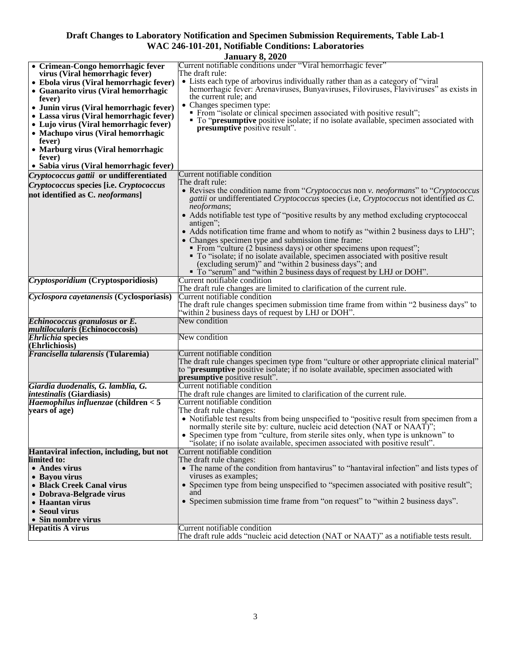| <b>January 8, 2020</b>                                           |                                                                                                                                                                         |
|------------------------------------------------------------------|-------------------------------------------------------------------------------------------------------------------------------------------------------------------------|
| • Crimean-Congo hemorrhagic fever                                | Current notifiable conditions under "Viral hemorrhagic fever"                                                                                                           |
| virus (Viral hemorrhagic fever)                                  | The draft rule:                                                                                                                                                         |
| • Ebola virus (Viral hemorrhagic fever)                          | • Lists each type of arbovirus individually rather than as a category of "viral"                                                                                        |
| • Guanarito virus (Viral hemorrhagic                             | hemorrhagic fever: Arenaviruses, Bunyaviruses, Filoviruses, Flaviviruses" as exists in                                                                                  |
| fever)                                                           | the current rule; and                                                                                                                                                   |
| • Junin virus (Viral hemorrhagic fever)                          | • Changes specimen type:                                                                                                                                                |
| • Lassa virus (Viral hemorrhagic fever)                          | • From "isolate or clinical specimen associated with positive result";<br>• To " <b>presumptive</b> positive isolate; if no isolate available, specimen associated with |
| • Lujo virus (Viral hemorrhagic fever)                           | presumptive positive result".                                                                                                                                           |
| • Machupo virus (Viral hemorrhagic                               |                                                                                                                                                                         |
| fever)                                                           |                                                                                                                                                                         |
| • Marburg virus (Viral hemorrhagic                               |                                                                                                                                                                         |
| fever)                                                           |                                                                                                                                                                         |
| • Sabia virus (Viral hemorrhagic fever)                          |                                                                                                                                                                         |
| Cryptococcus gattii or undifferentiated                          | Current notifiable condition                                                                                                                                            |
| Cryptococcus species [i.e. Cryptococcus                          | The draft rule:                                                                                                                                                         |
| not identified as C. neoformans]                                 | • Revises the condition name from "Cryptococcus non v. neoformans" to "Cryptococcus"                                                                                    |
|                                                                  | <i>gattii</i> or undifferentiated <i>Cryptococcus</i> species (i.e., <i>Cryptococcus</i> not identified as C.<br>neoformans;                                            |
|                                                                  | • Adds notifiable test type of "positive results by any method excluding cryptococcal                                                                                   |
|                                                                  | antigen";                                                                                                                                                               |
|                                                                  | • Adds notification time frame and whom to notify as "within 2 business days to LHJ";                                                                                   |
|                                                                  | • Changes specimen type and submission time frame:                                                                                                                      |
|                                                                  | • From "culture (2 business days) or other specimens upon request";                                                                                                     |
|                                                                  | • To "isolate; if no isolate available, specimen associated with positive result                                                                                        |
|                                                                  | (excluding serum)" and "within 2 business days"; and                                                                                                                    |
|                                                                  | • To "serum" and "within 2 business days of request by LHJ or DOH".                                                                                                     |
| Cryptosporidium (Cryptosporidiosis)                              | Current notifiable condition                                                                                                                                            |
|                                                                  | The draft rule changes are limited to clarification of the current rule.                                                                                                |
| Cyclospora cayetanensis (Cyclosporiasis)                         | Current notifiable condition                                                                                                                                            |
|                                                                  | The draft rule changes specimen submission time frame from within "2 business days" to                                                                                  |
|                                                                  | "within 2 business days of request by LHJ or DOH".<br>New condition                                                                                                     |
| Echinococcus granulosus or E.<br>multilocularis (Echinococcosis) |                                                                                                                                                                         |
| <b>Ehrlichia species</b>                                         | New condition                                                                                                                                                           |
| (Ehrlichiosis)                                                   |                                                                                                                                                                         |
| Francisella tularensis (Tularemia)                               | Current notifiable condition                                                                                                                                            |
|                                                                  | The draft rule changes specimen type from "culture or other appropriate clinical material"                                                                              |
|                                                                  | to "presumptive positive isolate; if no isolate available, specimen associated with                                                                                     |
|                                                                  | presumptive positive result".                                                                                                                                           |
| Giardia duodenalis, G. lamblia, G.                               | Current notifiable condition                                                                                                                                            |
| <i>intestinalis</i> (Giardiasis)                                 | The draft rule changes are limited to clarification of the current rule.                                                                                                |
| $Haemophilus influenzae$ (children $< 5$                         | Current notifiable condition                                                                                                                                            |
| years of age)                                                    | The draft rule changes:<br>• Notifiable test results from being unspecified to "positive result from specimen from a                                                    |
|                                                                  | normally sterile site by: culture, nucleic acid detection (NAT or NAAT)";                                                                                               |
|                                                                  | • Specimen type from "culture, from sterile sites only, when type is unknown" to                                                                                        |
|                                                                  | "isolate; if no isolate available, specimen associated with positive result".                                                                                           |
| Hantaviral infection, including, but not                         | Current notifiable condition                                                                                                                                            |
| limited to:                                                      | The draft rule changes:                                                                                                                                                 |
| • Andes virus                                                    | • The name of the condition from hantavirus" to "hantaviral infection" and lists types of                                                                               |
| • Bayou virus                                                    | viruses as examples;                                                                                                                                                    |
| • Black Creek Canal virus                                        | • Specimen type from being unspecified to "specimen associated with positive result";                                                                                   |
| • Dobrava-Belgrade virus                                         | and                                                                                                                                                                     |
| • Haantan virus                                                  | • Specimen submission time frame from "on request" to "within 2 business days".                                                                                         |
| • Seoul virus                                                    |                                                                                                                                                                         |
| • Sin nombre virus                                               |                                                                                                                                                                         |
| <b>Hepatitis A virus</b>                                         | Current notifiable condition                                                                                                                                            |
|                                                                  | The draft rule adds "nucleic acid detection (NAT or NAAT)" as a notifiable tests result.                                                                                |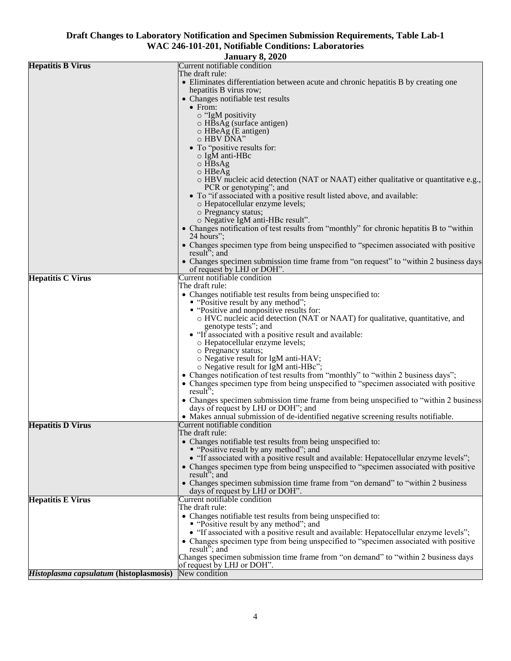|                                         | <b>January 8, 2020</b>                                                                                            |
|-----------------------------------------|-------------------------------------------------------------------------------------------------------------------|
| <b>Hepatitis B Virus</b>                | Current notifiable condition                                                                                      |
|                                         | The draft rule:<br>• Eliminates differentiation between acute and chronic hepatitis B by creating one             |
|                                         | hepatitis B virus row;                                                                                            |
|                                         | • Changes notifiable test results                                                                                 |
|                                         | $\bullet$ From:                                                                                                   |
|                                         | o "IgM positivity<br>o HBsAg (surface antigen)                                                                    |
|                                         | o HBeAg (E antigen)                                                                                               |
|                                         | $\circ$ HBV DNA"                                                                                                  |
|                                         | • To "positive results for:<br>$\circ$ IgM anti-HBc                                                               |
|                                         | o HBsAg                                                                                                           |
|                                         | $\circ$ HBeAg                                                                                                     |
|                                         | $\circ$ HBV nucleic acid detection (NAT or NAAT) either qualitative or quantitative e.g.,                         |
|                                         | PCR or genotyping"; and<br>• To "if associated with a positive result listed above, and available:                |
|                                         | o Hepatocellular enzyme levels;                                                                                   |
|                                         | o Pregnancy status;                                                                                               |
|                                         | o Negative IgM anti-HBc result".                                                                                  |
|                                         | • Changes notification of test results from "monthly" for chronic hepatitis B to "within<br>24 hours";            |
|                                         | • Changes specimen type from being unspecified to "specimen associated with positive                              |
|                                         | result"; and                                                                                                      |
|                                         | • Changes specimen submission time frame from "on request" to "within 2 business days                             |
| <b>Hepatitis C Virus</b>                | of request by LHJ or DOH".<br>Current notifiable condition                                                        |
|                                         | The draft rule:                                                                                                   |
|                                         | • Changes notifiable test results from being unspecified to:                                                      |
|                                         | • "Positive result by any method";<br>• "Positive and nonpositive results for:                                    |
|                                         | o HVC nucleic acid detection (NAT or NAAT) for qualitative, quantitative, and                                     |
|                                         | genotype tests"; and                                                                                              |
|                                         | • "If associated with a positive result and available:                                                            |
|                                         | o Hepatocellular enzyme levels;<br>o Pregnancy status;                                                            |
|                                         | o Negative result for IgM anti-HAV;                                                                               |
|                                         | o Negative result for IgM anti-HBc";                                                                              |
|                                         | • Changes notification of test results from "monthly" to "within 2 business days";                                |
|                                         | • Changes specimen type from being unspecified to "specimen associated with positive"<br>result <sup>5</sup> ;    |
|                                         | • Changes specimen submission time frame from being unspecified to "within 2 business                             |
|                                         | days of request by LHJ or DOH"; and                                                                               |
| <b>Hepatitis D Virus</b>                | • Makes annual submission of de-identified negative screening results notifiable.<br>Current notifiable condition |
|                                         | The draft rule:                                                                                                   |
|                                         | • Changes notifiable test results from being unspecified to:                                                      |
|                                         | • "Positive result by any method"; and                                                                            |
|                                         | • "If associated with a positive result and available: Hepatocellular enzyme levels";                             |
|                                         | • Changes specimen type from being unspecified to "specimen associated with positive"<br>result"; and             |
|                                         | • Changes specimen submission time frame from "on demand" to "within 2 business"                                  |
|                                         | days of request by LHJ or DOH".                                                                                   |
| <b>Hepatitis E Virus</b>                | Current notifiable condition<br>The draft rule:                                                                   |
|                                         | • Changes notifiable test results from being unspecified to:                                                      |
|                                         | • "Positive result by any method"; and                                                                            |
|                                         | • "If associated with a positive result and available: Hepatocellular enzyme levels";                             |
|                                         | • Changes specimen type from being unspecified to "specimen associated with positive<br>result"; and              |
|                                         | Changes specimen submission time frame from "on demand" to "within 2 business days                                |
|                                         | of request by LHJ or DOH".                                                                                        |
| Histoplasma capsulatum (histoplasmosis) | New condition                                                                                                     |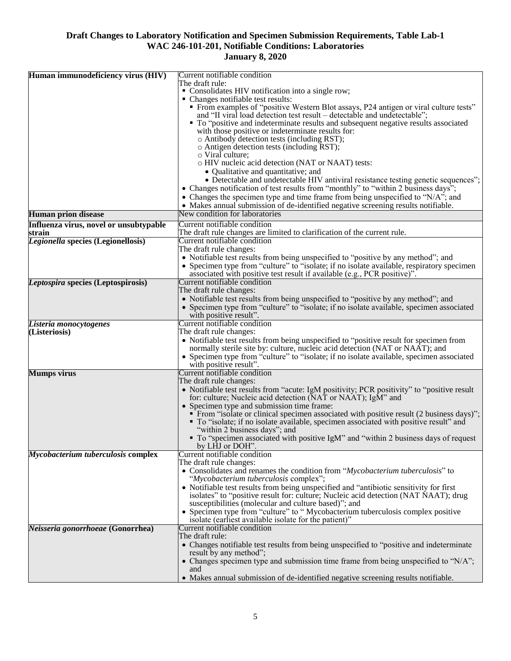| Human immunodeficiency virus (HIV)     | Current notifiable condition<br>The draft rule:                                                                                                                                   |
|----------------------------------------|-----------------------------------------------------------------------------------------------------------------------------------------------------------------------------------|
|                                        | • Consolidates HIV notification into a single row;                                                                                                                                |
|                                        | • Changes notifiable test results:                                                                                                                                                |
|                                        | • From examples of "positive Western Blot assays, P24 antigen or viral culture tests"                                                                                             |
|                                        | and "II viral load detection test result – detectable and undetectable";                                                                                                          |
|                                        | • To "positive and indeterminate results and subsequent negative results associated<br>with those positive or indeterminate results for:                                          |
|                                        | o Antibody detection tests (including RST);                                                                                                                                       |
|                                        | o Antigen detection tests (including RST);                                                                                                                                        |
|                                        | $\circ$ Viral culture;                                                                                                                                                            |
|                                        | o HIV nucleic acid detection (NAT or NAAT) tests:                                                                                                                                 |
|                                        | • Qualitative and quantitative; and                                                                                                                                               |
|                                        | • Detectable and undetectable HIV antiviral resistance testing genetic sequences";<br>• Changes notification of test results from "monthly" to "within 2 business days";          |
|                                        | • Changes the specimen type and time frame from being unspecified to " $N/A$ "; and                                                                                               |
|                                        | • Makes annual submission of de-identified negative screening results notifiable.                                                                                                 |
| <b>Human prion disease</b>             | New condition for laboratories                                                                                                                                                    |
| Influenza virus, novel or unsubtypable | Current notifiable condition                                                                                                                                                      |
| strain                                 | The draft rule changes are limited to clarification of the current rule.                                                                                                          |
| Legionella species (Legionellosis)     | Current notifiable condition                                                                                                                                                      |
|                                        | The draft rule changes:                                                                                                                                                           |
|                                        | • Notifiable test results from being unspecified to "positive by any method"; and<br>• Specimen type from "culture" to "isolate; if no isolate available, respiratory specimen    |
|                                        | associated with positive test result if available (e.g., PCR positive)".                                                                                                          |
| Leptospira species (Leptospirosis)     | Current notifiable condition                                                                                                                                                      |
|                                        | The draft rule changes:                                                                                                                                                           |
|                                        | • Notifiable test results from being unspecified to "positive by any method"; and                                                                                                 |
|                                        | • Specimen type from "culture" to "isolate; if no isolate available, specimen associated                                                                                          |
| Listeria monocytogenes                 | with positive result".<br>Current notifiable condition                                                                                                                            |
| (Listeriosis)                          | The draft rule changes:                                                                                                                                                           |
|                                        | • Notifiable test results from being unspecified to "positive result for specimen from                                                                                            |
|                                        | normally sterile site by: culture, nucleic acid detection (NAT or NAAT); and                                                                                                      |
|                                        | • Specimen type from "culture" to "isolate; if no isolate available, specimen associated<br>with positive result".                                                                |
| <b>Mumps virus</b>                     | Current notifiable condition                                                                                                                                                      |
|                                        | The draft rule changes:                                                                                                                                                           |
|                                        | • Notifiable test results from "acute: IgM positivity; PCR positivity" to "positive result                                                                                        |
|                                        | for: culture; Nucleic acid detection (NAT or NAAT); IgM" and                                                                                                                      |
|                                        | • Specimen type and submission time frame:                                                                                                                                        |
|                                        | • From "isolate or clinical specimen associated with positive result (2 business days)";<br>• To "isolate; if no isolate available, specimen associated with positive result" and |
|                                        | "within 2 business days"; and                                                                                                                                                     |
|                                        | • To "specimen associated with positive IgM" and "within 2 business days of request                                                                                               |
|                                        | by LHJ or DOH".                                                                                                                                                                   |
| Mycobacterium tuberculosis complex     | Current notifiable condition<br>The draft rule changes:                                                                                                                           |
|                                        | • Consolidates and renames the condition from "Mycobacterium tuberculosis" to                                                                                                     |
|                                        | "Mycobacterium tuberculosis complex";                                                                                                                                             |
|                                        | • Notifiable test results from being unspecified and "antibiotic sensitivity for first                                                                                            |
|                                        | isolates" to "positive result for: culture; Nucleic acid detection (NAT NAAT); drug                                                                                               |
|                                        | susceptibilities (molecular and culture based)"; and<br>• Specimen type from "culture" to " Mycobacterium tuberculosis complex positive                                           |
|                                        | isolate (earliest available isolate for the patient)"                                                                                                                             |
| Neisseria gonorrhoeae (Gonorrhea)      | Current notifiable condition                                                                                                                                                      |
|                                        | The draft rule:                                                                                                                                                                   |
|                                        | • Changes notifiable test results from being unspecified to "positive and indeterminate"                                                                                          |
|                                        | result by any method";<br>• Changes specimen type and submission time frame from being unspecified to "N/A";                                                                      |
|                                        | and                                                                                                                                                                               |
|                                        | • Makes annual submission of de-identified negative screening results notifiable.                                                                                                 |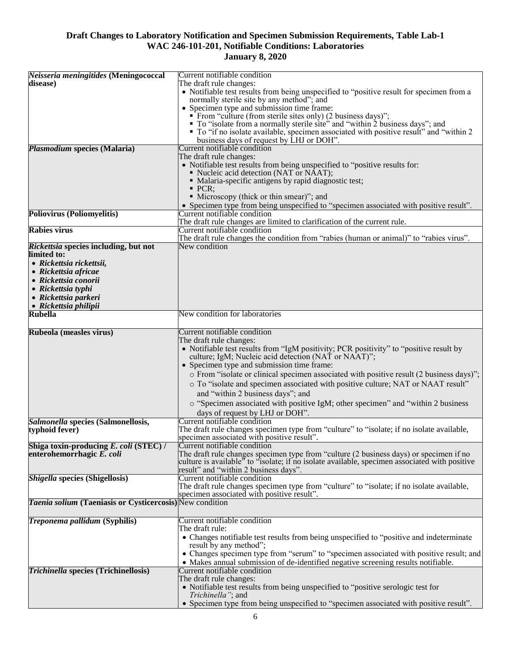|                                                          | Current notifiable condition                                                                                                                   |
|----------------------------------------------------------|------------------------------------------------------------------------------------------------------------------------------------------------|
| Neisseria meningitides (Meningococcal                    |                                                                                                                                                |
| disease)                                                 | The draft rule changes:                                                                                                                        |
|                                                          | • Notifiable test results from being unspecified to "positive result for specimen from a                                                       |
|                                                          | normally sterile site by any method"; and                                                                                                      |
|                                                          |                                                                                                                                                |
|                                                          | • Specimen type and submission time frame:                                                                                                     |
|                                                          | • From "culture (from sterile sites only) (2 business days)";<br>• To "isolate from a normally sterile site" and "within 2 business days"; and |
|                                                          |                                                                                                                                                |
|                                                          | • To "if no isolate available, specimen associated with positive result" and "within 2                                                         |
|                                                          | business days of request by LHJ or DOH".                                                                                                       |
|                                                          | Current notifiable condition                                                                                                                   |
| Plasmodium species (Malaria)                             |                                                                                                                                                |
|                                                          | The draft rule changes:                                                                                                                        |
|                                                          | • Notifiable test results from being unspecified to "positive results for:                                                                     |
|                                                          | • Nucleic acid detection (NAT or NAAT);                                                                                                        |
|                                                          | • Malaria-specific antigens by rapid diagnostic test;                                                                                          |
|                                                          |                                                                                                                                                |
|                                                          | $\blacksquare$ PCR:                                                                                                                            |
|                                                          | • Microscopy (thick or thin smear)"; and                                                                                                       |
|                                                          | • Specimen type from being unspecified to "specimen associated with positive result".                                                          |
| <b>Poliovirus (Poliomyelitis)</b>                        | Current notifiable condition                                                                                                                   |
|                                                          |                                                                                                                                                |
|                                                          | The draft rule changes are limited to clarification of the current rule.                                                                       |
| <b>Rabies virus</b>                                      | Current notifiable condition                                                                                                                   |
|                                                          | The draft rule changes the condition from "rabies (human or animal)" to "rabies virus".                                                        |
| Rickettsia species including, but not                    | New condition                                                                                                                                  |
| limited to:                                              |                                                                                                                                                |
|                                                          |                                                                                                                                                |
| • Rickettsia rickettsii,                                 |                                                                                                                                                |
| • Rickettsia africae                                     |                                                                                                                                                |
| • Rickettsia conorii                                     |                                                                                                                                                |
|                                                          |                                                                                                                                                |
| • Rickettsia typhi                                       |                                                                                                                                                |
| • Rickettsia parkeri                                     |                                                                                                                                                |
| • Rickettsia philipii                                    |                                                                                                                                                |
| <b>Rubella</b>                                           | New condition for laboratories                                                                                                                 |
|                                                          |                                                                                                                                                |
|                                                          |                                                                                                                                                |
| Rubeola (measles virus)                                  | Current notifiable condition                                                                                                                   |
|                                                          | The draft rule changes:                                                                                                                        |
|                                                          | • Notifiable test results from "IgM positivity; PCR positivity" to "positive result by                                                         |
|                                                          | culture; IgM; Nucleic acid detection (NAT or NAAT)";                                                                                           |
|                                                          |                                                                                                                                                |
|                                                          | • Specimen type and submission time frame:                                                                                                     |
|                                                          | o From "isolate or clinical specimen associated with positive result (2 business days)";                                                       |
|                                                          |                                                                                                                                                |
|                                                          | o To "isolate and specimen associated with positive culture; NAT or NAAT result"                                                               |
|                                                          | and "within 2 business days"; and                                                                                                              |
|                                                          | o "Specimen associated with positive IgM; other specimen" and "within 2 business                                                               |
|                                                          |                                                                                                                                                |
|                                                          | days of request by LHJ or DOH".                                                                                                                |
| Salmonella species (Salmonellosis,                       | Current notifiable condition                                                                                                                   |
|                                                          | The draft rule changes specimen type from "culture" to "isolate; if no isolate available,                                                      |
| typhoid fever)                                           |                                                                                                                                                |
|                                                          | specimen associated with positive result".                                                                                                     |
| Shiga toxin-producing E. coli (STEC) /                   | Current notifiable condition                                                                                                                   |
| enterohemorrhagic E. coli                                | The draft rule changes specimen type from "culture (2 business days) or specimen if no                                                         |
|                                                          | culture is available <sup>5</sup> to "isolate; if no isolate available, specimen associated with positive                                      |
|                                                          | result" and "within 2 business days".                                                                                                          |
|                                                          |                                                                                                                                                |
| <b>Shigella species (Shigellosis)</b>                    | Current notifiable condition                                                                                                                   |
|                                                          | The draft rule changes specimen type from "culture" to "isolate; if no isolate available,                                                      |
|                                                          | specimen associated with positive result".                                                                                                     |
| Taenia solium (Taeniasis or Cysticercosis) New condition |                                                                                                                                                |
|                                                          |                                                                                                                                                |
|                                                          |                                                                                                                                                |
| Treponema pallidum (Syphilis)                            | Current notifiable condition                                                                                                                   |
|                                                          | The draft rule:                                                                                                                                |
|                                                          | • Changes notifiable test results from being unspecified to "positive and indeterminate"                                                       |
|                                                          | result by any method";                                                                                                                         |
|                                                          |                                                                                                                                                |
|                                                          | • Changes specimen type from "serum" to "specimen associated with positive result; and                                                         |
|                                                          | • Makes annual submission of de-identified negative screening results notifiable.                                                              |
| <b>Trichinella species (Trichinellosis)</b>              | Current notifiable condition                                                                                                                   |
|                                                          | The draft rule changes:                                                                                                                        |
|                                                          |                                                                                                                                                |
|                                                          | • Notifiable test results from being unspecified to "positive serologic test for                                                               |
|                                                          | Trichinella"; and                                                                                                                              |
|                                                          | • Specimen type from being unspecified to "specimen associated with positive result".                                                          |